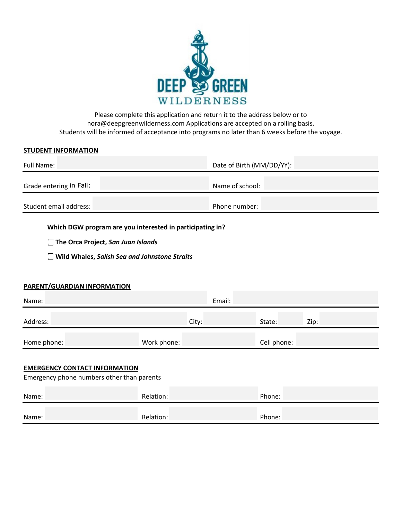

Please complete this application and return it to the address below or to nora@deepgreenwilderness.com Applications are accepted on a rolling basis. Students will be informed of acceptance into programs no later than 6 weeks before the voyage.

### **STUDENT INFORMATION**

| Full Name:              | Date of Birth (MM/DD/YY): |  |
|-------------------------|---------------------------|--|
| Grade entering in Fall: | Name of school:           |  |
| Student email address:  | Phone number:             |  |

**Which DGW program are you interested in participating in?**

 $\Box$  The Orca Project, San Juan Islands

 $\Box$  Wild Whales, Salish Sea and Johnstone Straits

# **PARENT/GUARDIAN INFORMATION**

| Name:       | Email:      |             |      |
|-------------|-------------|-------------|------|
| Address:    | City:       | State:      | Zip: |
| Home phone: | Work phone: | Cell phone: |      |

### **EMERGENCY CONTACT INFORMATION**

Emergency phone numbers other than parents

| Name: | Relation: | Phone: |
|-------|-----------|--------|
| Name: | Relation: | Phone: |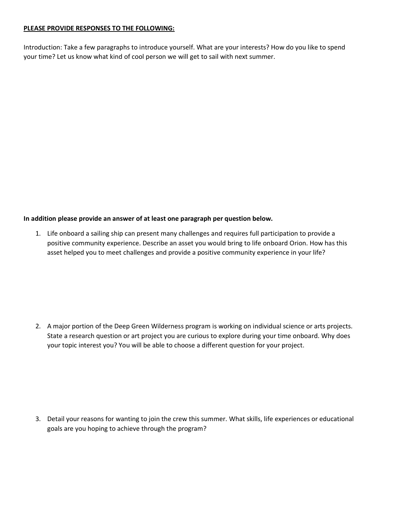# **PLEASE PROVIDE RESPONSES TO THE FOLLOWING:**

Introduction: Take a few paragraphs to introduce yourself. What are your interests? How do you like to spend your time? Let us know what kind of cool person we will get to sail with next summer.

# **In addition please provide an answer of at least one paragraph per question below.**

1. Life onboard a sailing ship can present many challenges and requires full participation to provide a positive community experience. Describe an asset you would bring to life onboard Orion. How has this asset helped you to meet challenges and provide a positive community experience in your life?

2. A major portion of the Deep Green Wilderness program is working on individual science or arts projects. State a research question or art project you are curious to explore during your time onboard. Why does your topic interest you? You will be able to choose a different question for your project.

3. Detail your reasons for wanting to join the crew this summer. What skills, life experiences or educational goals are you hoping to achieve through the program?